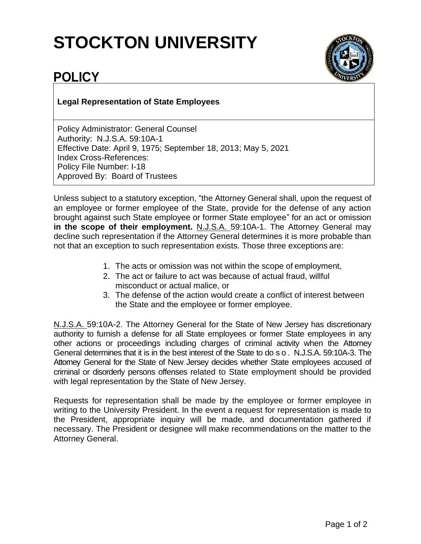## **STOCKTON UNIVERSITY**



## **POLICY**

**Legal Representation of State Employees**

Policy Administrator: General Counsel Authority: N.J.S.A. 59:10A-1 Effective Date: April 9, 1975; September 18, 2013; May 5, 2021 Index Cross-References: Policy File Number: I-18 Approved By: Board of Trustees

Unless subject to a statutory exception, "the Attorney General shall, upon the request of an employee or former employee of the State, provide for the defense of any action brought against such State employee or former State employee" for an act or omission **in the scope of their employment.** N.J.S.A. 59:10A-1. The Attorney General may decline such representation if the Attorney General determines it is more probable than not that an exception to such representation exists. Those three exceptions are:

- 1. The acts or omission was not within the scope of employment,
- 2. The act or failure to act was because of actual fraud, willful misconduct or actual malice, or
- 3. The defense of the action would create a conflict of interest between the State and the employee or former employee.

N.J.S.A. 59:10A-2. The Attorney General for the State of New Jersey has discretionary authority to furnish a defense for all State employees or former State employees in any other actions or proceedings including charges of criminal activity when the Attorney General determines that it is in the best interest of the State to do s o . N.J.S.A. 59:10A-3. The Attorney General for the State of New Jersey decides whether State employees accused of criminal or disorderly persons offenses related to State employment should be provided with legal representation by the State of New Jersey.

Requests for representation shall be made by the employee or former employee in writing to the University President. In the event a request for representation is made to the President, appropriate inquiry will be made, and documentation gathered if necessary. The President or designee will make recommendations on the matter to the Attorney General.